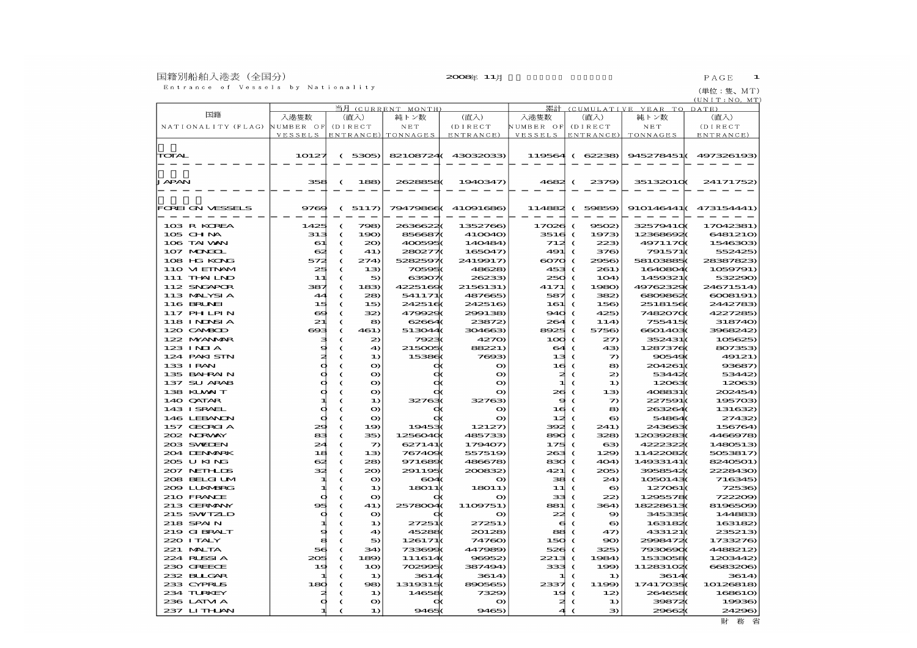国籍別船舶入港表(全国分)<br>- Entrance of Vessels by Nationality

(単位:隻、MT)<br><u>(UNIT:NO,MT</u>)

|                           |              | (CURRENT MONTH) |                 | 累計<br>(CUMULATIVE YEAR TO DATE) |                     |            |                          |                |                      |                      |
|---------------------------|--------------|-----------------|-----------------|---------------------------------|---------------------|------------|--------------------------|----------------|----------------------|----------------------|
| 国籍                        | 入港隻数         | 当月              | (直入)            | 純トン数                            | (直入)                | 入港隻数       |                          | (直入)           | 純トン数                 | (直入)                 |
| NATIONALITY (FLAG)        | NUMBER OF    |                 | (DIRECT         | N E T                           | (DIRECT             | NUMBER OF  |                          | (DIRECT        | N E T                | (DIRECT              |
|                           | VESSELS      |                 |                 | ENTRANCE) TONNAGES              | ENTRANCE)           | VESSELS    |                          | ENTRANCE)      | TONNAGES             | ENTRANCE)            |
|                           |              |                 |                 |                                 |                     |            |                          |                |                      |                      |
|                           |              |                 |                 |                                 |                     |            |                          |                |                      |                      |
| TOTAL                     | 10127        |                 | (5305)          |                                 | 82108724(43032033)  |            |                          | 119564 (62238) |                      | 945278451(497326193) |
|                           |              |                 |                 |                                 |                     |            |                          |                |                      |                      |
|                           |              |                 |                 |                                 |                     |            |                          |                |                      |                      |
| JAPAN                     | 358          | €               | 188             | 26288580                        | 1940347             | 4682 (     |                          | 2379)          | 35132010K            | 24171752)            |
|                           |              |                 |                 |                                 |                     |            |                          |                |                      |                      |
|                           |              |                 |                 |                                 |                     |            |                          |                |                      |                      |
| FOREI ON VESSELS          | 9769         |                 | (5117)          | 79479866                        | 41091686            |            |                          | 114882 (59859) |                      | 910146441(473154441) |
|                           |              |                 |                 |                                 |                     |            |                          |                |                      |                      |
| 103 R KOREA               | 1425         | C               | 798)            | 26366220                        | 1352766)            | $17026$ (  |                          | 9502           | 325794100            | 17042381)            |
| $105$ CHNA                | 313          | $\epsilon$      | 190             | 8566870                         | 410040              | $3516$ (   |                          | 1973)          | 123686020            | 6481210              |
| 106 TAI WAN               | 61           | €               | $20 \Omega$     | 4005950                         | 140484              | 712        | $\epsilon$               | 223            | 49711700             | 1546303              |
| 107 MARCIL                | $\mathbf{G}$ | €               | 41)             | 280277(                         | 165047)             | 491        | €                        | 376)           | 791571(              | 552425)              |
| 108 HG KONG               | 572          | C               | 274             | 5282597(                        | 2419917             | $\infty$   | €                        | 2956)          | 581038850            | 28387823)            |
| 110 VI EINAM              | 25           | C               | 13              | 705950                          | 48628)              | 453        |                          | 261)           | 1640804(             | 1059791)             |
| 111 THAILND               | 11           | €               | 5               | 63907(                          | 26233               | 250        |                          | 1O4            | 1459321(             | 532290)              |
| 112 SNGAPOR               | 387          | C               | 183             | 42251690                        | 2156131)            | 4171       | $\epsilon$               | 1980)          | 4976232              | 24671514)            |
| 113 MALYSIA               | 44           | C               | 28              | 541171(                         | 487665)             | 587        | $\epsilon$               | 382            | 6800862              | 6008191)             |
| 116 BRUNEI                | 15           | C               | 15              | 2425160                         | 242516)             | 161        | $\epsilon$               | 156            | 25181560             | 2442783)             |
| 117 PH LPIN               | ⇔            | C               | 32              | 4799290                         | 299138              | 940        | $\epsilon$               | 425)           | 74820700             | 4227285)             |
| 118 INDSIA                | 21           | C               | 8               | 62664                           | 23872)              | 264        | $\epsilon$               | 114            | 755415(              | 318740)              |
| 120 CAMBOD                | $\bullet$    | C               | 461)            | 513044(                         | 304663              | 8925       | €                        | 5756)          | 66014030             | 3968242)             |
| 122 MYANAR                | э            | C               | 2               | 79230                           | 4270                | 100        | €                        | $z\pi$         | 352431(              | 105625)              |
| $123 \text{ INIA}$        | 9            | €               | $\triangleleft$ | 2150050                         | 88221)              | 64         | €                        | $-4.3$         | 12873760             | 807353               |
| 124 PAKI STN              | ≉            | C               | $\bf{1}$        | 153860                          | 7693                | 13         | €                        | つ              | 905490               | 49121)               |
| 133 IRAN                  | Þ            |                 | o               |                                 | $\mathbf o$         | 16         |                          | 8              | 204261(              | 93687)               |
| 135 BAHRAIN               | d            |                 | o               |                                 | $\bullet$           | ≉          | ‹                        | 2              | 534420               | 53442)               |
| 137 SU ARAB               | Þ            | C               | $\bullet$       |                                 | $\bullet$           | 1          | C                        | $\bf{D}$       | 120630               | 12063                |
| 138 KUWAIT                | Þ            | C               | $\bullet$       |                                 | $\bullet$           | 26         | $\epsilon$               | 13             | 408831(              | 202454)              |
| 140 QATAR                 |              |                 | 1)              | 327630                          | 32763)              | s          |                          | $\mathcal{D}$  | 227591               | 195703               |
| 143 ISRAEL                | d            | C               | O               |                                 | o                   | 16         | €                        | 8              | 263264               | 131632               |
| 146 LEBANON               | d            | C               | $\mathbf o$     |                                 | $\mathbf o$         | 12         | €                        | 6              | 54864                | 27432)               |
| 157 GEORGIA               | 29           | C               | $1\Omega$       | 194530                          | 12127               | 392        | $\epsilon$               | 241)           | 2436630              | 156764)              |
| 202 NRWY                  | æ∃           | C               | 35)             | 12560400                        | 485733              | 890        | $\epsilon$               | 328)           | 120392830            | 4466978)             |
| 203 SWIEN<br>204 DENMRK   | 24           | C               | $\mathcal{D}$   | 627141(                         | 179407)             | 175        | $\epsilon$               | 63             | 42223220             | 1480513              |
|                           | 18           | C               | 13              | 7674090                         | 557519              | 263        | €                        | 129            | 114220820            | 5053817)             |
| 205 U KING<br>207 NEIHLDS | ⇔            | C               | 28)             | 9716890                         | 486678)             | 830        | $\epsilon$               | 4O4            | 14933141             | 8240501)             |
|                           | 34           | C               | $20 \sigma$     | 2911950                         | 200832)             | 421        | €                        | 205            | 39585420             | 2228430)             |
| 208 BELGI UM              | 1            | €               | $\bullet$       | 6040                            | $\mathbf o$         | 38         | €                        | 24             | 10501430             | 716345)              |
| 209 LUXMERG               |              |                 | $\bf{1}$        | 18011(                          | 1801 <sub>1</sub> ) | 11         | €                        | 6              | 127061(              | 72536)               |
| 210 FRANCE                | d            |                 | O               |                                 | o                   | 33         | €                        | 22)            | 12955780             | 722209)              |
| 213 GERMANY<br>215 SWIZLD | 95           | C               | 41)             | 25780040                        | 1109751)            | 881<br>22  | €                        | 364)           | 182286130<br>3453350 | 8196509<br>144883    |
| 218 SPAIN                 | d            | €<br>C          | $\bullet$<br>1) | 27251(                          | o<br>27251)         | e,         | $\epsilon$<br>$\epsilon$ | 9<br>$\bullet$ | 1631820              | 163182               |
| 219 G BRALT               | d            | C               | $\triangleleft$ | 452880                          | 20128               | æs.        | $\epsilon$               | 47             | 433121(              | 235213)              |
| 220 I TALY                | 8            | C               | 5               | 126171(                         | 74760)              | 150        | $\epsilon$               | 90             | 20084720             | 1733276)             |
| $221$ MUTA                | 56           |                 | 34)             | 733600                          | 447989)             | 526        | €                        | 325)           | 79306900             | 4488212)             |
| 224 RUSSIA                | 205          | C               | 189             | 111614(                         | 96952               | 2213       |                          | 1984)          | 15330580             | 1203442              |
| 230 GREECE                |              | C<br>€          | 10              | 702995(                         | 387494)             | 3334 (     |                          |                | 112831020            | 6683206)             |
| 232 BLIGAR                | 19           | C               | $\bf{1}$        | 36140                           | 3614)               |            | €                        | 199            | 36140                | 3614)                |
| 233 CYPRUS                |              |                 |                 |                                 |                     |            |                          | 1)             | 174170350            |                      |
| 234 TURKEY                | 180          |                 | 98)<br>$\bf{1}$ | 1319315(<br>146580              | 890565<br>7329)     | 2337<br>19 | €<br>€                   | 1199<br>12)    | 2646580              | 10126818<br>168610   |
| 236 LAIM A                | d            |                 | $\bullet$       |                                 | $\bullet$           | ≉          |                          | $\bf{D}$       | 398720               | 19936)               |
|                           |              | C               |                 | 94650                           | 9465)               | 4          | $\epsilon$<br>$\epsilon$ |                | 296620               |                      |
| 237 LITHAN                |              |                 | 1)              |                                 |                     |            |                          | 3              |                      | 24296)               |

財務省